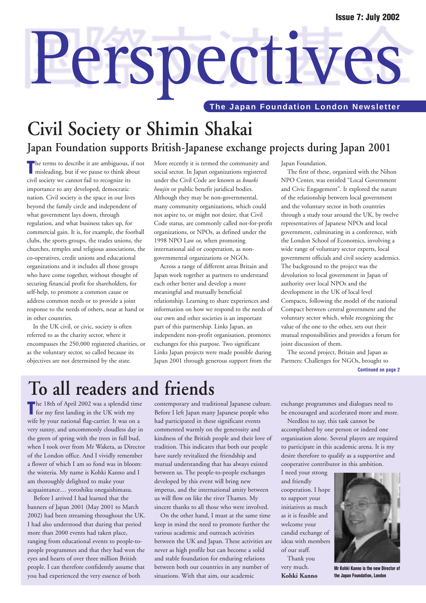# Perspectives **The Japan Foundation London Newsletter**

# **Civil Society or Shimin Shakai**

### **Japan Foundation supports British-Japanese exchange projects during Japan 2001**

The terms to describe it are ambiguous, if no<br>
misleading, but if we pause to think about **he terms to describe it are ambiguous, if not** civil society we cannot fail to recognize its importance to any developed, democratic nation. Civil society is the space in our lives beyond the family circle and independent of what government lays down, through regulation, and what business takes up, for commercial gain. It is, for example, the football clubs, the sports groups, the trades unions, the churches, temples and religious associations, the co-operatives, credit unions and educational organizations and it includes all those groups who have come together, without thought of securing financial profit for shareholders, for self-help, to promote a common cause or address common needs or to provide a joint response to the needs of others, near at hand or in other countries.

In the UK civil, or civic, society is often referred to as the charity sector, where it encompasses the 250,000 registered charities, or as the voluntary sector, so called because its objectives are not determined by the state.

More recently it is termed the community and social sector. In Japan organizations registered under the Civil Code are known as *koueki houjin* or public benefit juridical bodies. Although they may be non-governmental, many community organizations, which could not aspire to, or might not desire, that Civil Code status, are commonly called not-for-profit organizations, or NPOs, as defined under the 1998 NPO Law or, when promoting international aid or cooperation, as nongovernmental organizations or NGOs.

Across a range of different areas Britain and Japan work together as partners to understand each other better and develop a more meaningful and mutually beneficial relationship. Learning to share experiences and information on how we respond to the needs of our own and other societies is an important part of this partnership. Links Japan, an independent non-profit organisation, promotes exchanges for this purpose. Two significant Links Japan projects were made possible during Japan 2001 through generous support from the

Japan Foundation.

The first of these, organized with the Nihon NPO Center, was entitled "Local Government and Civic Engagement". It explored the nature of the relationship between local government and the voluntary sector in both countries through a study tour around the UK, by twelve representatives of Japanese NPOs and local government, culminating in a conference, with the London School of Economics, involving a wide range of voluntary sector experts, local government officials and civil society academics. The background to the project was the devolution to local government in Japan of authority over local NPOs and the development in the UK of local level Compacts, following the model of the national Compact between central government and the voluntary sector which, while recognizing the value of the one to the other, sets out their mutual responsibilities and provides a forum for joint discussion of them.

The second project, Britain and Japan as Partners: Challenges for NGOs, brought to

**Continued on page 2**

# To all readers and friends

The 18th of April 2002 was a splendid time<br>for my first landing in the UK with my wife by your national flag-carrier. It was on a very sunny, and uncommonly cloudless day in the green of spring with the trees in full bud, when I took over from Mr Waketa, as Director of the London office. And I vividly remember a flower of which I am so fond was in bloom: the wisteria. My name is Kohki Kanno and I am thoroughly delighted to make your acquaintance… yoroshiku onegaishimasu.

Before I arrived I had learned that the banners of Japan 2001 (May 2001 to March 2002) had been streaming throughout the UK. I had also understood that during that period more than 2000 events had taken place, ranging from educational events to people-topeople programmes and that they had won the eyes and hearts of over three million British people. I can therefore confidently assume that you had experienced the very essence of both

contemporary and traditional Japanese culture. Before I left Japan many Japanese people who had participated in these significant events commented warmly on the generosity and kindness of the British people and their love of tradition. This indicates that both our people have surely revitalized the friendship and mutual understanding that has always existed between us. The people-to-people exchanges developed by this event will bring new impetus, and the international amity between us will flow on like the river Thames. My sincere thanks to all those who were involved.

On the other hand, I must at the same time keep in mind the need to promote further the various academic and outreach activities between the UK and Japan. These activities are never as high profile but can become a solid and stable foundation for enduring relations between both our countries in any number of situations. With that aim, our academic

exchange programmes and dialogues need to be encouraged and accelerated more and more.

Needless to say, this task cannot be accomplished by one person or indeed one organisation alone. Several players are required to participate in this academic arena. It is my desire therefore to qualify as a supportive and cooperative contributor in this ambition.

I need your strong and friendly cooperation. I hope to support your initiatives as much as it is feasible and welcome your candid exchange of ideas with members of our staff.

Thank you very much. **Kohki Kanno**



**Mr Kohki Kanno is the new Director of the Japan Foundation, London**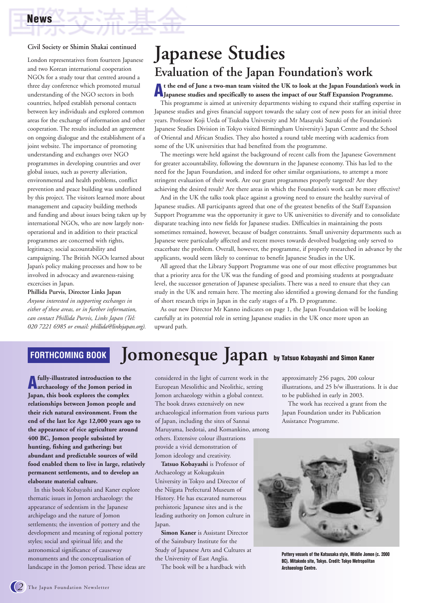#### **Civil Society or Shimin Shakai continued**

London representatives from fourteen Japanese and two Korean international cooperation NGOs for a study tour that centred around a three day conference which promoted mutual understanding of the NGO sectors in both countries, helped establish personal contacts between key individuals and explored common areas for the exchange of information and other cooperation. The results included an agreement on ongoing dialogue and the establishment of a joint website. The importance of promoting understanding and exchanges over NGO programmes in developing countries and over global issues, such as poverty alleviation, environmental and health problems, conflict prevention and peace building was underlined by this project. The visitors learned more about management and capacity building methods and funding and about issues being taken up by international NGOs, who are now largely nonoperational and in addition to their practical programmes are concerned with rights, legitimacy, social accountability and campaigning. The British NGOs learned about Japan's policy making processes and how to be involved in advocacy and awareness-raising excercises in Japan.

**Phillida Purvis, Director Links Japan** *Anyone interested in supporting exchanges in either of these areas, or in further information, can contact Phillida Purvis, Links Japan (Tel: 020 7221 6985 or email: phillida@linksjapan.org).*

# **Japanese Studies Evaluation of the Japan Foundation's work**

# A<sub>Japanese</sub> studies and specifically to assess the impact of our Staff Expansion Programme.

This programme is aimed at university departments wishing to expand their staffing expertise in Japanese studies and gives financial support towards the salary cost of new posts for an initial three years. Professor Koji Ueda of Tsukuba University and Mr Masayuki Suzuki of the Foundation's Japanese Studies Division in Tokyo visited Birmingham University's Japan Centre and the School of Oriental and African Studies. They also hosted a round table meeting with academics from some of the UK universities that had benefited from the programme.

The meetings were held against the background of recent calls from the Japanese Government for greater accountability, following the downturn in the Japanese economy. This has led to the need for the Japan Foundation, and indeed for other similar organisations, to attempt a more stringent evaluation of their work. Are our grant programmes properly targeted? Are they achieving the desired result? Are there areas in which the Foundation's work can be more effective?

And in the UK the talks took place against a growing need to ensure the healthy survival of Japanese studies. All participants agreed that one of the greatest benefits of the Staff Expansion Support Programme was the opportunity it gave to UK universities to diversify and to consolidate disparate teaching into new fields for Japanese studies. Difficulties in maintaining the posts sometimes remained, however, because of budget constraints. Small university departments such as Japanese were particularly affected and recent moves towards devolved budgeting only served to exacerbate the problem. Overall, however, the programme, if properly researched in advance by the applicants, would seem likely to continue to benefit Japanese Studies in the UK.

All agreed that the Library Support Programme was one of our most effective programmes but that a priority area for the UK was the funding of good and promising students at postgraduate level, the successor generation of Japanese specialists. There was a need to ensure that they can study in the UK and remain here. The meeting also identified a growing demand for the funding of short research trips in Japan in the early stages of a Ph. D programme.

As our new Director Mr Kanno indicates on page 1, the Japan Foundation will be looking carefully at its potential role in setting Japanese studies in the UK once more upon an upward path.

#### **Jomonesque Japan by Tatsuo Kobayashi and Simon Kaner FORTHCOMING BOOK**

**Afully-illustrated introduction to the archaeology of the Jomon period in Japan, this book explores the complex relationships between Jomon people and their rich natural environment. From the end of the last Ice Age 12,000 years ago to the appearance of rice agriculture around 400 BC, Jomon people subsisted by hunting, fishing and gathering; but abundant and predictable sources of wild food enabled them to live in large, relatively permanent settlements, and to develop an elaborate material culture.**

In this book Kobayashi and Kaner explore thematic issues in Jomon archaeology: the appearance of sedentism in the Japanese archipelago and the nature of Jomon settlements; the invention of pottery and the development and meaning of regional pottery styles; social and spiritual life; and the astronomical significance of causeway monuments and the conceptualisation of landscape in the Jomon period. These ideas are considered in the light of current work in the European Mesolithic and Neolithic, setting Jomon archaeology within a global context. The book draws extensively on new archaeological information from various parts of Japan, including the sites of Sannai Maruyama, Isedotai, and Komankino, among others. Extensive colour illustrations provide a vivid demonstration of Jomon ideology and creativity.

**Tatsuo Kobayashi** is Professor of Archaeology at Kokugakuin University in Tokyo and Director of the Niigata Prefectural Museum of History. He has excavated numerous prehistoric Japanese sites and is the leading authority on Jomon culture in Japan.

**Simon Kaner** is Assistant Director of the Sainsbury Institute for the Study of Japanese Arts and Cultures at the University of East Anglia.

The book will be a hardback with

approximately 256 pages, 200 colour illustrations, and 25 b/w illustrations. It is due to be published in early in 2003.

The work has received a grant from the Japan Foundation under its Publication Assistance Programme.



**Pottery vessels of the Katsusaka style, Middle Jomon (c. 2000 BC). Mitakedo site, Tokyo. Credit: Tokyo Metropolitan Archaeology Centre.**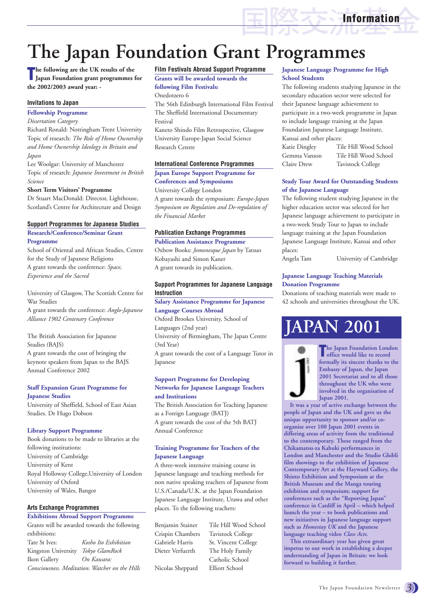**The Japan Foundation Grant Programmes** 

**The following are the UK results of the Japan Foundation grant programmes Japan Foundation grant programmes for the 2002/2003 award year: -**

#### **Invitations to Japan**

**Fellowship Programme** 

*Dissertation Category*

Richard Ronald: Nottingham Trent University Topic of research: *The Role of Home Ownership and Home Ownership Ideology in Britain and Japan*

Lee Woolgar: University of Manchester Topic of research: *Japanese Investment in British Science*

#### **Short Term Visitors' Programme**

Dr Stuart MacDonald: Director, Lighthouse, Scotland's Centre for Architecture and Design

#### **Support Programmes for Japanese Studies**

**Research/Conference/Seminar Grant Programme**

School of Oriental and African Studies, Centre for the Study of Japanese Religions A grant towards the conference: *Space, Experience and the Sacred*

University of Glasgow, The Scottish Centre for War Studies

A grant towards the conference: *Anglo-Japanese Alliance 1902 Centenary Conference*

The British Association for Japanese Studies (BAJS) A grant towards the cost of bringing the

keynote speakers from Japan to the BAJS Annual Conference 2002

#### **Staff Expansion Grant Programme for Japanese Studies**

University of Sheffield, School of East Asian Studies. Dr Hugo Dobson

#### **Library Support Programme**

Book donations to be made to libraries at the following institutions: University of Cambridge University of Kent Royal Holloway College,University of London University of Oxford University of Wales, Bangor

#### **Arts Exchange Programmes**

#### **Exhibitions Abroad Support Programme**

Grants will be awarded towards the following exhibitions: Tate St Ives: *Kosho Ito Exhibition* Kingston University *Tokyo GlamRock* Ikon Gallery *On Kawara: Consciousness. Meditation. Watcher on the Hills*

#### **Film Festivals Abroad Support Programme**

**Grants will be awarded towards the following Film Festivals:**

Onedotzero 6

The 56th Edinburgh International Film Festival The Sheffield International Documentary Festival

Kaneto Shindo Film Retrospective, Glasgow University Europe-Japan Social Science Research Centre

#### **International Conference Programmes**

**Japan Europe Support Programme for Conferences and Symposiums**  University College London

A grant towards the symposium: *Europe-Japan Symposium on Regulation and De-regulation of the Financial Market*

#### **Publication Exchange Programmes**

#### **Publication Assistance Programme**

Oxbow Books: *Jomonesque Japan* by Tatsuo Kobayashi and Simon Kaner A grant towards its publication.

#### **Support Programmes for Japanese Language Instruction**

**Salary Assistance Programme for Japanese Language Courses Abroad**

Oxford Brookes University, School of Languages (2nd year) University of Birmingham, The Japan Centre (3rd Year) A grant towards the cost of a Language Tutor in Japanese

#### **Support Programme for Developing Networks for Japanese Language Teachers and Institutions**

The British Association for Teaching Japanese as a Foreign Language (BATJ) A grant towards the cost of the 5th BATJ Annual Conference

#### **Training Programme for Teachers of the Japanese Language**

A three-week intensive training course in Japanese language and teaching methods for non native speaking teachers of Japanese from U.S./Canada/U.K. at the Japan Foundation Japanese Language Institute, Urawa and other places. To the following teachers:

Benjamin Stainer Tile Hill Wood School

Crispin Chambers Tavistock College Gabriele Harris St. Vincent College Dieter Verfuerth The Holy Family Catholic School Nicolas Sheppard Elliott School

#### **Japanese Language Programme for High School Students**

**Information**

The following students studying Japanese in the secondary education sector were selected for their Japanese language achievement to participate in a two-week programme in Japan to include language training at the Japan Foundation Japanese Language Institute, Kansai and other places:

| Katie Dingley | Tile Hill Wood School |
|---------------|-----------------------|
| Gemma Vanson  | Tile Hill Wood School |
| Claire Drew   | Tavistock College     |

#### **Study Tour Award for Outstanding Students of the Japanese Language**

The following student studying Japanese in the higher education sector was selected for her Japanese language achievement to participate in a two-week Study Tour to Japan to include language training at the Japan Foundation Japanese Language Institute, Kansai and other places:

Angela Tam University of Cambridge

#### **Japanese Language Teaching Materials Donation Programme**

Donations of teaching materials were made to 42 schools and universities throughout the UK.

# **JAPAN 2001**



**The Japan Foundation London office would like to record formally its sincere thanks to the Embassy of Japan, the Japan 2001 Secretariat and to all those throughout the UK who were involved in the organisation of Japan 2001.**

**It was a year of active exchange between the people of Japan and the UK and gave us the unique opportunity to sponsor and/or coorganise over 100 Japan 2001 events in differing areas of activity from the traditional to the contemporary. These ranged from the Chikamatsu-za Kabuki performances in London and Manchester and the Studio Ghibli film showings to the exhibition of Japanese Contemporary Art at the Hayward Gallery, the Shinto Exhibition and Symposium at the British Museum and the Manga touring exhibition and symposium; support for conferences such as the "Reporting Japan" conference in Cardiff in April – which helped launch the year – to book publications and new initiatives in Japanese language support such as** *Homestay UK* **and the Japanese language teaching video** *Class Acts***.**

**This extraordinary year has given great impetus to our work in establishing a deeper understanding of Japan in Britain: we look forward to building it further.**